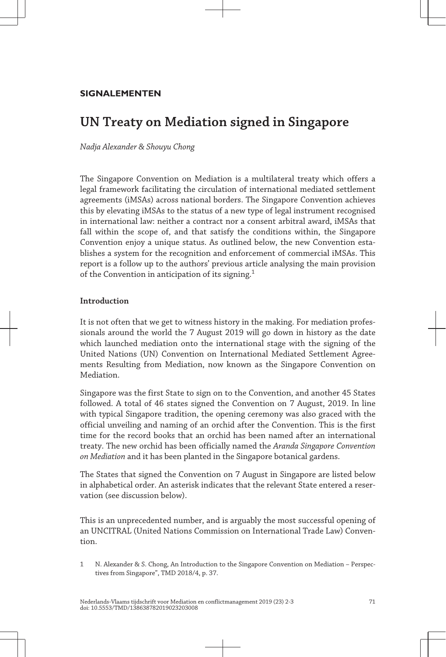# **SIGNALEMENTEN**

# **UN Treaty on Mediation signed in Singapore**

*Nadja Alexander & Shouyu Chong*

The Singapore Convention on Mediation is a multilateral treaty which offers a legal framework facilitating the circulation of international mediated settlement agreements (iMSAs) across national borders. The Singapore Convention achieves this by elevating iMSAs to the status of a new type of legal instrument recognised in international law: neither a contract nor a consent arbitral award, iMSAs that fall within the scope of, and that satisfy the conditions within, the Singapore Convention enjoy a unique status. As outlined below, the new Convention esta‐ blishes a system for the recognition and enforcement of commercial iMSAs. This report is a follow up to the authors' previous article analysing the main provision of the Convention in anticipation of its signing.<sup>1</sup>

#### **Introduction**

It is not often that we get to witness history in the making. For mediation profes‐ sionals around the world the 7 August 2019 will go down in history as the date which launched mediation onto the international stage with the signing of the United Nations (UN) Convention on International Mediated Settlement Agree‐ ments Resulting from Mediation, now known as the Singapore Convention on Mediation.

Singapore was the first State to sign on to the Convention, and another 45 States followed. A total of 46 states signed the Convention on 7 August, 2019. In line with typical Singapore tradition, the opening ceremony was also graced with the official unveiling and naming of an orchid after the Convention. This is the first time for the record books that an orchid has been named after an international treaty. The new orchid has been officially named the *Aranda Singapore Convention on Mediation* and it has been planted in the Singapore botanical gardens.

The States that signed the Convention on 7 August in Singapore are listed below in alphabetical order. An asterisk indicates that the relevant State entered a reservation (see discussion below).

This is an unprecedented number, and is arguably the most successful opening of an UNCITRAL (United Nations Commission on International Trade Law) Conven‐ tion.

1 N. Alexander & S. Chong, An Introduction to the Singapore Convention on Mediation – Perspec‐ tives from Singapore", TMD 2018/4, p. 37.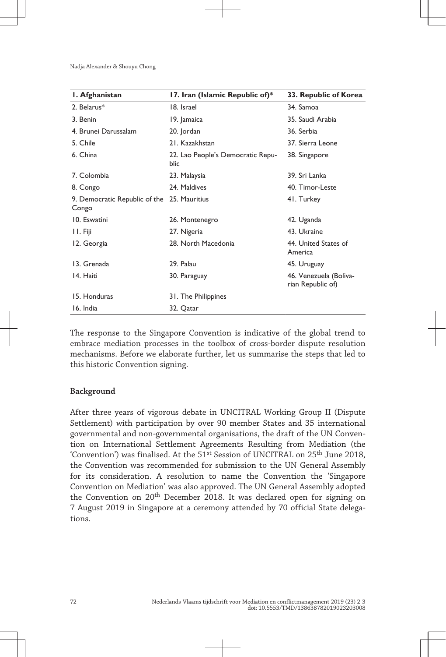Nadja Alexander & Shouyu Chong

| I. Afghanistan                                       | 17. Iran (Islamic Republic of)*           | 33. Republic of Korea                       |
|------------------------------------------------------|-------------------------------------------|---------------------------------------------|
| 2. Belarus*                                          | 18. Israel                                | 34. Samoa                                   |
| 3. Benin                                             | 19. Jamaica                               | 35. Saudi Arabia                            |
| 4. Brunei Darussalam                                 | 20. Jordan                                | 36. Serbia                                  |
| 5. Chile                                             | 21. Kazakhstan                            | 37. Sierra Leone                            |
| 6. China                                             | 22. Lao People's Democratic Repu-<br>blic | 38. Singapore                               |
| 7. Colombia                                          | 23. Malaysia                              | 39. Sri Lanka                               |
| 8. Congo                                             | 24. Maldives                              | 40. Timor-Leste                             |
| 9. Democratic Republic of the 25. Mauritius<br>Congo |                                           | 41. Turkey                                  |
| 10. Eswatini                                         | 26. Montenegro                            | 42. Uganda                                  |
| II. Fiji                                             | 27. Nigeria                               | 43. Ukraine                                 |
| 12. Georgia                                          | 28. North Macedonia                       | 44. United States of<br>America             |
| 13. Grenada                                          | 29. Palau                                 | 45. Uruguay                                 |
| 14. Haiti                                            | 30. Paraguay                              | 46. Venezuela (Boliva-<br>rian Republic of) |
| 15. Honduras                                         | 31. The Philippines                       |                                             |
| 16. India                                            | 32. Qatar                                 |                                             |

The response to the Singapore Convention is indicative of the global trend to embrace mediation processes in the toolbox of cross-border dispute resolution mechanisms. Before we elaborate further, let us summarise the steps that led to this historic Convention signing.

#### **Background**

After three years of vigorous debate in UNCITRAL Working Group II (Dispute Settlement) with participation by over 90 member States and 35 international governmental and non-governmental organisations, the draft of the UN Conven‐ tion on International Settlement Agreements Resulting from Mediation (the 'Convention') was finalised. At the  $51<sup>st</sup>$  Session of UNCITRAL on  $25<sup>th</sup>$  June 2018, the Convention was recommended for submission to the UN General Assembly for its consideration. A resolution to name the Convention the 'Singapore Convention on Mediation' was also approved. The UN General Assembly adopted the Convention on 20<sup>th</sup> December 2018. It was declared open for signing on 7 August 2019 in Singapore at a ceremony attended by 70 official State delega‐ tions.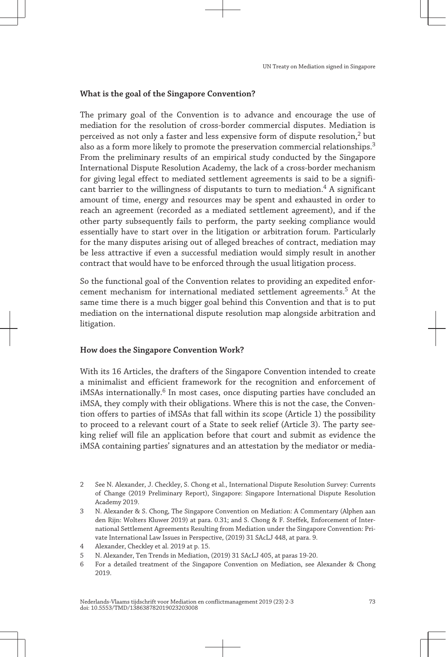#### **What is the goal of the Singapore Convention?**

The primary goal of the Convention is to advance and encourage the use of mediation for the resolution of cross-border commercial disputes. Mediation is perceived as not only a faster and less expensive form of dispute resolution,<sup>2</sup> but also as a form more likely to promote the preservation commercial relationships.<sup>3</sup> From the preliminary results of an empirical study conducted by the Singapore International Dispute Resolution Academy, the lack of a cross-border mechanism for giving legal effect to mediated settlement agreements is said to be a significant barrier to the willingness of disputants to turn to mediation.<sup>4</sup> A significant amount of time, energy and resources may be spent and exhausted in order to reach an agreement (recorded as a mediated settlement agreement), and if the other party subsequently fails to perform, the party seeking compliance would essentially have to start over in the litigation or arbitration forum. Particularly for the many disputes arising out of alleged breaches of contract, mediation may be less attractive if even a successful mediation would simply result in another contract that would have to be enforced through the usual litigation process.

So the functional goal of the Convention relates to providing an expedited enfor‐ cement mechanism for international mediated settlement agreements.<sup>5</sup> At the same time there is a much bigger goal behind this Convention and that is to put mediation on the international dispute resolution map alongside arbitration and litigation.

#### **How does the Singapore Convention Work?**

With its 16 Articles, the drafters of the Singapore Convention intended to create a minimalist and efficient framework for the recognition and enforcement of iMSAs internationally. $^6$  In most cases, once disputing parties have concluded an iMSA, they comply with their obligations. Where this is not the case, the Convention offers to parties of iMSAs that fall within its scope (Article 1) the possibility to proceed to a relevant court of a State to seek relief (Article 3). The party seeking relief will file an application before that court and submit as evidence the iMSA containing parties' signatures and an attestation by the mediator or media-

- 2 See N. Alexander, J. Checkley, S. Chong et al., International Dispute Resolution Survey: Currents of Change (2019 Preliminary Report), Singapore: Singapore International Dispute Resolution Academy 2019.
- 3 N. Alexander & S. Chong, The Singapore Convention on Mediation: A Commentary (Alphen aan den Rijn: Wolters Kluwer 2019) at para. 0.31; and S. Chong & F. Steffek, Enforcement of Inter‐ national Settlement Agreements Resulting from Mediation under the Singapore Convention: Pri‐ vate International Law Issues in Perspective, (2019) 31 SAcLJ 448, at para. 9.
- 4 Alexander, Checkley et al. 2019 at p. 15.
- 5 N. Alexander, Ten Trends in Mediation, (2019) 31 SAcLJ 405, at paras 19-20.
- 6 For a detailed treatment of the Singapore Convention on Mediation, see Alexander & Chong 2019.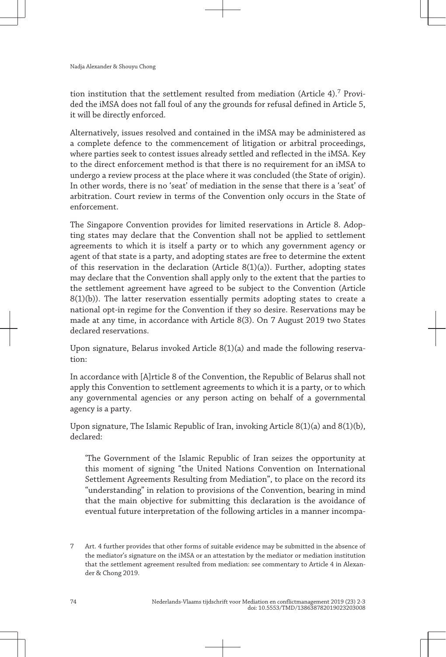tion institution that the settlement resulted from mediation (Article 4).<sup>7</sup> Provided the iMSA does not fall foul of any the grounds for refusal defined in Article 5, it will be directly enforced.

Alternatively, issues resolved and contained in the iMSA may be administered as a complete defence to the commencement of litigation or arbitral proceedings, where parties seek to contest issues already settled and reflected in the iMSA. Key to the direct enforcement method is that there is no requirement for an iMSA to undergo a review process at the place where it was concluded (the State of origin). In other words, there is no 'seat' of mediation in the sense that there is a 'seat' of arbitration. Court review in terms of the Convention only occurs in the State of enforcement.

The Singapore Convention provides for limited reservations in Article 8. Adop‐ ting states may declare that the Convention shall not be applied to settlement agreements to which it is itself a party or to which any government agency or agent of that state is a party, and adopting states are free to determine the extent of this reservation in the declaration (Article  $8(1)(a)$ ). Further, adopting states may declare that the Convention shall apply only to the extent that the parties to the settlement agreement have agreed to be subject to the Convention (Article  $8(1)(b)$ ). The latter reservation essentially permits adopting states to create a national opt-in regime for the Convention if they so desire. Reservations may be made at any time, in accordance with Article 8(3). On 7 August 2019 two States declared reservations.

Upon signature, Belarus invoked Article 8(1)(a) and made the following reservation:

In accordance with [A]rticle 8 of the Convention, the Republic of Belarus shall not apply this Convention to settlement agreements to which it is a party, or to which any governmental agencies or any person acting on behalf of a governmental agency is a party.

Upon signature, The Islamic Republic of Iran, invoking Article 8(1)(a) and 8(1)(b), declared:

'The Government of the Islamic Republic of Iran seizes the opportunity at this moment of signing "the United Nations Convention on International Settlement Agreements Resulting from Mediation", to place on the record its "understanding" in relation to provisions of the Convention, bearing in mind that the main objective for submitting this declaration is the avoidance of eventual future interpretation of the following articles in a manner incompa-

<sup>7</sup> Art. 4 further provides that other forms of suitable evidence may be submitted in the absence of the mediator's signature on the iMSA or an attestation by the mediator or mediation institution that the settlement agreement resulted from mediation: see commentary to Article 4 in Alexander & Chong 2019.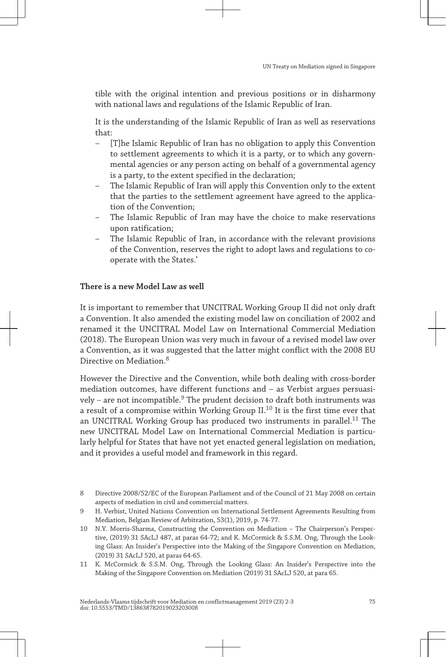tible with the original intention and previous positions or in disharmony with national laws and regulations of the Islamic Republic of Iran.

It is the understanding of the Islamic Republic of Iran as well as reservations that:

- [T]he Islamic Republic of Iran has no obligation to apply this Convention to settlement agreements to which it is a party, or to which any governmental agencies or any person acting on behalf of a governmental agency is a party, to the extent specified in the declaration;
- The Islamic Republic of Iran will apply this Convention only to the extent that the parties to the settlement agreement have agreed to the application of the Convention;
- The Islamic Republic of Iran may have the choice to make reservations upon ratification;
- The Islamic Republic of Iran, in accordance with the relevant provisions of the Convention, reserves the right to adopt laws and regulations to cooperate with the States.'

### **There is a new Model Law as well**

It is important to remember that UNCITRAL Working Group II did not only draft a Convention. It also amended the existing model law on conciliation of 2002 and renamed it the UNCITRAL Model Law on International Commercial Mediation (2018). The European Union was very much in favour of a revised model law over a Convention, as it was suggested that the latter might conflict with the 2008 EU Directive on Mediation.<sup>8</sup>

However the Directive and the Convention, while both dealing with cross-border mediation outcomes, have different functions and – as Verbist argues persuasively – are not incompatible. $9$  The prudent decision to draft both instruments was a result of a compromise within Working Group II.<sup>10</sup> It is the first time ever that an UNCITRAL Working Group has produced two instruments in parallel.<sup>11</sup> The new UNCITRAL Model Law on International Commercial Mediation is particularly helpful for States that have not yet enacted general legislation on mediation, and it provides a useful model and framework in this regard.

<sup>8</sup> Directive 2008/52/EC of the European Parliament and of the Council of 21 May 2008 on certain aspects of mediation in civil and commercial matters.

<sup>9</sup> H. Verbist, United Nations Convention on International Settlement Agreements Resulting from Mediation, Belgian Review of Arbitration, 53(1), 2019, p. 74-77.

<sup>10</sup> N.Y. Morris-Sharma, Constructing the Convention on Mediation – The Chairperson's Perspec‐ tive, (2019) 31 SAcLJ 487, at paras 64-72; and K. McCormick & S.S.M. Ong, Through the Look‐ ing Glass: An Insider's Perspective into the Making of the Singapore Convention on Mediation, (2019) 31 SAcLJ 520, at paras 64-65.

<sup>11</sup> K. McCormick & S.S.M. Ong, Through the Looking Glass: An Insider's Perspective into the Making of the Singapore Convention on Mediation (2019) 31 SAcLJ 520, at para 65.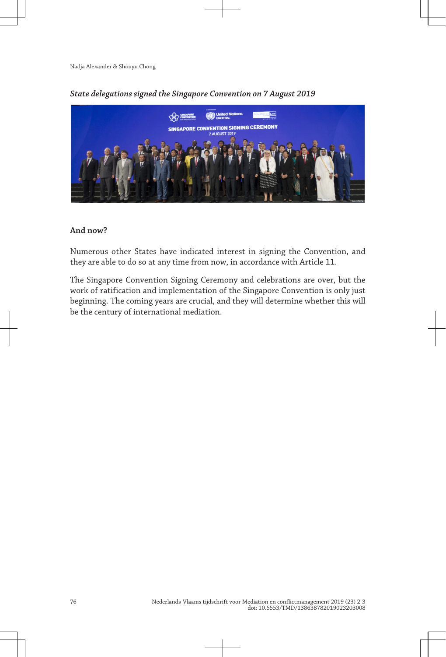

#### *State delegations signed the Singapore Convention on 7 August 2019*

## **And now?**

Numerous other States have indicated interest in signing the Convention, and they are able to do so at any time from now, in accordance with Article 11.

The Singapore Convention Signing Ceremony and celebrations are over, but the work of ratification and implementation of the Singapore Convention is only just beginning. The coming years are crucial, and they will determine whether this will be the century of international mediation.